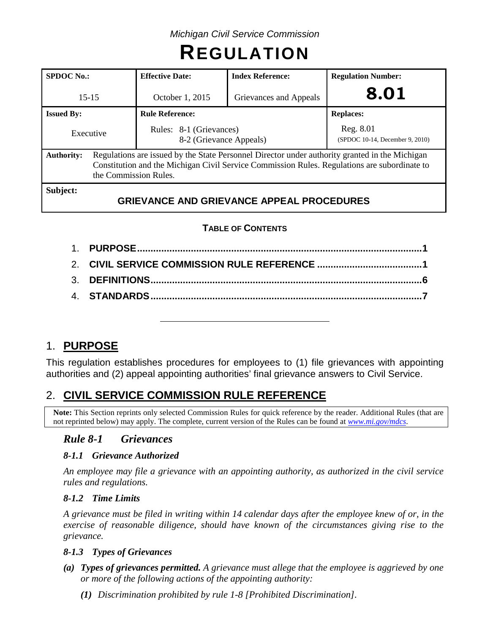# **REGULATION**

| <b>SPDOC</b> No.:                                                                                                                                                                                                                            | <b>Effective Date:</b> | <b>Index Reference:</b>                          | <b>Regulation Number:</b>                    |  |  |
|----------------------------------------------------------------------------------------------------------------------------------------------------------------------------------------------------------------------------------------------|------------------------|--------------------------------------------------|----------------------------------------------|--|--|
| $15 - 15$                                                                                                                                                                                                                                    | October 1, 2015        | Grievances and Appeals                           | 8.01                                         |  |  |
| <b>Issued By:</b>                                                                                                                                                                                                                            | <b>Rule Reference:</b> |                                                  | <b>Replaces:</b>                             |  |  |
| Rules: 8-1 (Grievances)<br>Executive<br>8-2 (Grievance Appeals)                                                                                                                                                                              |                        |                                                  | Reg. 8.01<br>(SPDOC 10-14, December 9, 2010) |  |  |
| Regulations are issued by the State Personnel Director under authority granted in the Michigan<br><b>Authority:</b><br>Constitution and the Michigan Civil Service Commission Rules. Regulations are subordinate to<br>the Commission Rules. |                        |                                                  |                                              |  |  |
| Subject:                                                                                                                                                                                                                                     |                        | <b>GRIEVANCE AND GRIEVANCE APPEAL PROCEDURES</b> |                                              |  |  |

# **TABLE OF CONTENTS**

# 1. **PURPOSE**

This regulation establishes procedures for employees to (1) file grievances with appointing authorities and (2) appeal appointing authorities' final grievance answers to Civil Service.

# 2. **CIVIL SERVICE COMMISSION RULE REFERENCE**

**Note:** This Section reprints only selected Commission Rules for quick reference by the reader. Additional Rules (that are not reprinted below) may apply. The complete, current version of the Rules can be found at *[www.mi.gov/mdcs](http://www.mi.gov/mdcs)*.

# *Rule 8-1 Grievances*

## *8-1.1 Grievance Authorized*

*An employee may file a grievance with an appointing authority, as authorized in the civil service rules and regulations.*

#### *8-1.2 Time Limits*

*A grievance must be filed in writing within 14 calendar days after the employee knew of or, in the exercise of reasonable diligence, should have known of the circumstances giving rise to the grievance.*

#### *8-1.3 Types of Grievances*

- *(a) Types of grievances permitted. A grievance must allege that the employee is aggrieved by one or more of the following actions of the appointing authority:*
	- *(1) Discrimination prohibited by rule 1-8 [Prohibited Discrimination].*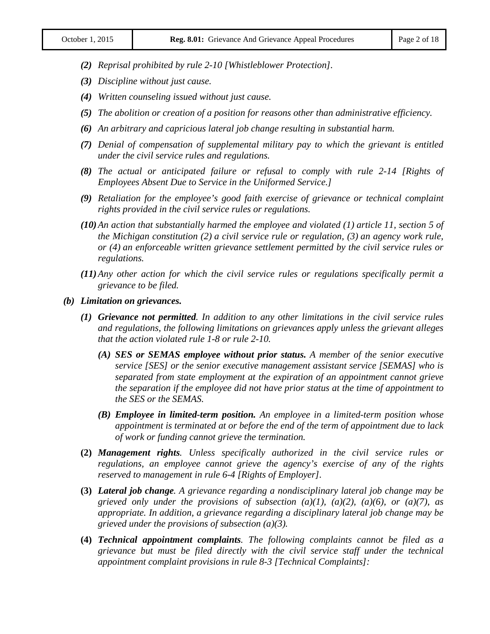- *(2) Reprisal prohibited by rule 2-10 [Whistleblower Protection].*
- *(3) Discipline without just cause.*
- *(4) Written counseling issued without just cause.*
- *(5) The abolition or creation of a position for reasons other than administrative efficiency.*
- *(6) An arbitrary and capricious lateral job change resulting in substantial harm.*
- *(7) Denial of compensation of supplemental military pay to which the grievant is entitled under the civil service rules and regulations.*
- *(8) The actual or anticipated failure or refusal to comply with rule 2-14 [Rights of Employees Absent Due to Service in the Uniformed Service.]*
- *(9) Retaliation for the employee's good faith exercise of grievance or technical complaint rights provided in the civil service rules or regulations.*
- *(10)An action that substantially harmed the employee and violated (1) article 11, section 5 of the Michigan constitution (2) a civil service rule or regulation, (3) an agency work rule, or (4) an enforceable written grievance settlement permitted by the civil service rules or regulations.*
- *(11)Any other action for which the civil service rules or regulations specifically permit a grievance to be filed.*
- *(b) Limitation on grievances.*
	- *(1) Grievance not permitted. In addition to any other limitations in the civil service rules and regulations, the following limitations on grievances apply unless the grievant alleges that the action violated rule 1-8 or rule 2-10.*
		- *(A) SES or SEMAS employee without prior status. A member of the senior executive service [SES] or the senior executive management assistant service [SEMAS] who is separated from state employment at the expiration of an appointment cannot grieve the separation if the employee did not have prior status at the time of appointment to the SES or the SEMAS.*
		- *(B) Employee in limited-term position. An employee in a limited-term position whose appointment is terminated at or before the end of the term of appointment due to lack of work or funding cannot grieve the termination.*
	- **(2)** *Management rights. Unless specifically authorized in the civil service rules or regulations, an employee cannot grieve the agency's exercise of any of the rights reserved to management in rule 6-4 [Rights of Employer].*
	- **(3)** *Lateral job change. A grievance regarding a nondisciplinary lateral job change may be grieved only under the provisions of subsection (a)(1), (a)(2), (a)(6), or (a)(7), as appropriate. In addition, a grievance regarding a disciplinary lateral job change may be grieved under the provisions of subsection (a)(3).*
	- **(4)** *Technical appointment complaints. The following complaints cannot be filed as a grievance but must be filed directly with the civil service staff under the technical appointment complaint provisions in rule 8-3 [Technical Complaints]:*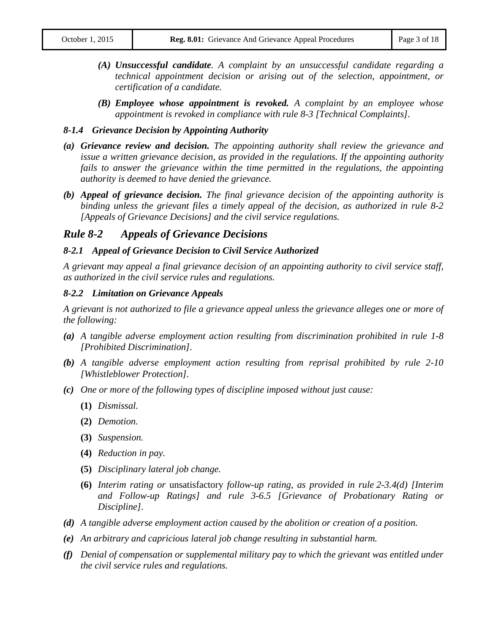- *(A) Unsuccessful candidate. A complaint by an unsuccessful candidate regarding a technical appointment decision or arising out of the selection, appointment, or certification of a candidate.*
- *(B) Employee whose appointment is revoked. A complaint by an employee whose appointment is revoked in compliance with rule 8-3 [Technical Complaints].*

#### *8-1.4 Grievance Decision by Appointing Authority*

- *(a) Grievance review and decision. The appointing authority shall review the grievance and issue a written grievance decision, as provided in the regulations. If the appointing authority*  fails to answer the grievance within the time permitted in the regulations, the appointing *authority is deemed to have denied the grievance.*
- *(b) Appeal of grievance decision. The final grievance decision of the appointing authority is binding unless the grievant files a timely appeal of the decision, as authorized in rule 8-2 [Appeals of Grievance Decisions] and the civil service regulations.*

#### *Rule 8-2 Appeals of Grievance Decisions*

#### *8-2.1 Appeal of Grievance Decision to Civil Service Authorized*

*A grievant may appeal a final grievance decision of an appointing authority to civil service staff, as authorized in the civil service rules and regulations.*

#### *8-2.2 Limitation on Grievance Appeals*

*A grievant is not authorized to file a grievance appeal unless the grievance alleges one or more of the following:*

- *(a) A tangible adverse employment action resulting from discrimination prohibited in rule 1-8 [Prohibited Discrimination].*
- *(b) A tangible adverse employment action resulting from reprisal prohibited by rule 2-10 [Whistleblower Protection].*
- *(c) One or more of the following types of discipline imposed without just cause:*
	- **(1)** *Dismissal.*
	- **(2)** *Demotion.*
	- **(3)** *Suspension.*
	- **(4)** *Reduction in pay.*
	- **(5)** *Disciplinary lateral job change.*
	- **(6)** *Interim rating or* unsatisfactory *follow-up rating, as provided in rule 2-3.4(d) [Interim and Follow-up Ratings] and rule 3-6.5 [Grievance of Probationary Rating or Discipline].*
- *(d) A tangible adverse employment action caused by the abolition or creation of a position.*
- *(e) An arbitrary and capricious lateral job change resulting in substantial harm.*
- *(f) Denial of compensation or supplemental military pay to which the grievant was entitled under the civil service rules and regulations.*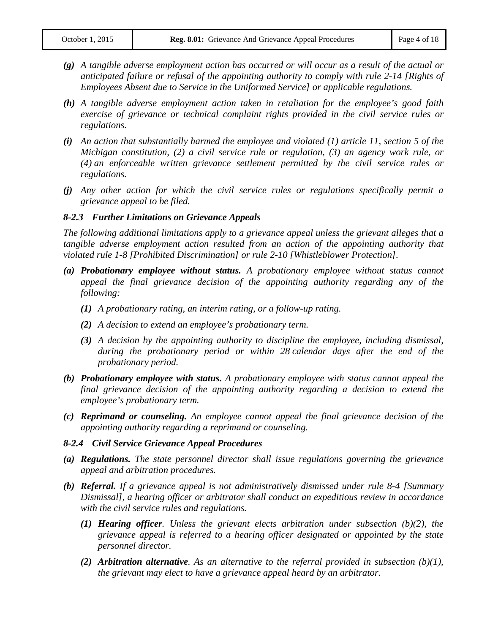- *(g) A tangible adverse employment action has occurred or will occur as a result of the actual or anticipated failure or refusal of the appointing authority to comply with rule 2-14 [Rights of Employees Absent due to Service in the Uniformed Service] or applicable regulations.*
- *(h) A tangible adverse employment action taken in retaliation for the employee's good faith exercise of grievance or technical complaint rights provided in the civil service rules or regulations.*
- *(i) An action that substantially harmed the employee and violated (1) article 11, section 5 of the Michigan constitution, (2) a civil service rule or regulation, (3) an agency work rule, or (4) an enforceable written grievance settlement permitted by the civil service rules or regulations.*
- *(j) Any other action for which the civil service rules or regulations specifically permit a grievance appeal to be filed.*

#### *8-2.3 Further Limitations on Grievance Appeals*

*The following additional limitations apply to a grievance appeal unless the grievant alleges that a tangible adverse employment action resulted from an action of the appointing authority that violated rule 1-8 [Prohibited Discrimination] or rule 2-10 [Whistleblower Protection].*

- *(a) Probationary employee without status. A probationary employee without status cannot appeal the final grievance decision of the appointing authority regarding any of the following:*
	- *(1) A probationary rating, an interim rating, or a follow-up rating.*
	- *(2) A decision to extend an employee's probationary term.*
	- *(3) A decision by the appointing authority to discipline the employee, including dismissal, during the probationary period or within 28 calendar days after the end of the probationary period.*
- *(b) Probationary employee with status. A probationary employee with status cannot appeal the final grievance decision of the appointing authority regarding a decision to extend the employee's probationary term.*
- *(c) Reprimand or counseling. An employee cannot appeal the final grievance decision of the appointing authority regarding a reprimand or counseling.*

#### *8-2.4 Civil Service Grievance Appeal Procedures*

- *(a) Regulations. The state personnel director shall issue regulations governing the grievance appeal and arbitration procedures.*
- *(b) Referral. If a grievance appeal is not administratively dismissed under rule 8-4 [Summary Dismissal], a hearing officer or arbitrator shall conduct an expeditious review in accordance with the civil service rules and regulations.*
	- *(1) Hearing officer. Unless the grievant elects arbitration under subsection (b)(2), the grievance appeal is referred to a hearing officer designated or appointed by the state personnel director.*
	- *(2) Arbitration alternative. As an alternative to the referral provided in subsection (b)(1), the grievant may elect to have a grievance appeal heard by an arbitrator.*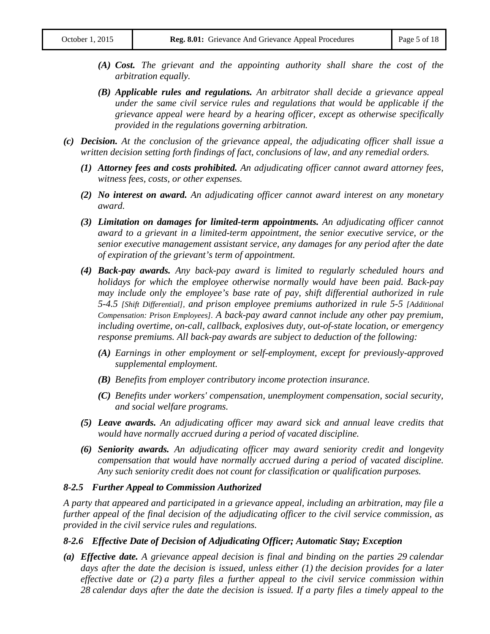- *(A) Cost. The grievant and the appointing authority shall share the cost of the arbitration equally.*
- *(B) Applicable rules and regulations. An arbitrator shall decide a grievance appeal under the same civil service rules and regulations that would be applicable if the grievance appeal were heard by a hearing officer, except as otherwise specifically provided in the regulations governing arbitration.*
- *(c) Decision. At the conclusion of the grievance appeal, the adjudicating officer shall issue a written decision setting forth findings of fact, conclusions of law, and any remedial orders.*
	- *(1) Attorney fees and costs prohibited. An adjudicating officer cannot award attorney fees, witness fees, costs, or other expenses.*
	- *(2) No interest on award. An adjudicating officer cannot award interest on any monetary award.*
	- *(3) Limitation on damages for limited-term appointments. An adjudicating officer cannot award to a grievant in a limited-term appointment, the senior executive service, or the senior executive management assistant service, any damages for any period after the date of expiration of the grievant's term of appointment.*
	- *(4) Back-pay awards. Any back-pay award is limited to regularly scheduled hours and holidays for which the employee otherwise normally would have been paid. Back-pay may include only the employee's base rate of pay, shift differential authorized in rule 5-4.5 [Shift Differential], and prison employee premiums authorized in rule 5-5 [Additional Compensation: Prison Employees]. A back-pay award cannot include any other pay premium, including overtime, on-call, callback, explosives duty, out-of-state location, or emergency response premiums. All back-pay awards are subject to deduction of the following:*
		- *(A) Earnings in other employment or self-employment, except for previously-approved supplemental employment.*
		- *(B) Benefits from employer contributory income protection insurance.*
		- *(C) Benefits under workers' compensation, unemployment compensation, social security, and social welfare programs.*
	- *(5) Leave awards. An adjudicating officer may award sick and annual leave credits that would have normally accrued during a period of vacated discipline.*
	- *(6) Seniority awards. An adjudicating officer may award seniority credit and longevity compensation that would have normally accrued during a period of vacated discipline. Any such seniority credit does not count for classification or qualification purposes.*

#### *8-2.5 Further Appeal to Commission Authorized*

*A party that appeared and participated in a grievance appeal, including an arbitration, may file a further appeal of the final decision of the adjudicating officer to the civil service commission, as provided in the civil service rules and regulations.*

#### *8-2.6 Effective Date of Decision of Adjudicating Officer; Automatic Stay; Exception*

*(a) Effective date. A grievance appeal decision is final and binding on the parties 29 calendar days after the date the decision is issued, unless either (1) the decision provides for a later effective date or (2) a party files a further appeal to the civil service commission within 28 calendar days after the date the decision is issued. If a party files a timely appeal to the*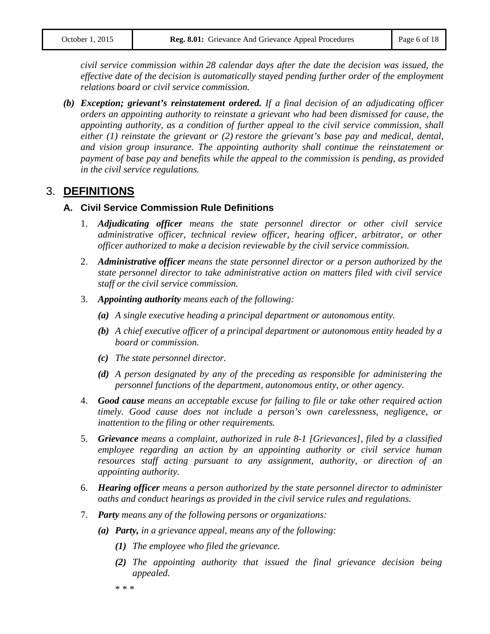*civil service commission within 28 calendar days after the date the decision was issued, the effective date of the decision is automatically stayed pending further order of the employment relations board or civil service commission.*

*(b) Exception; grievant's reinstatement ordered. If a final decision of an adjudicating officer orders an appointing authority to reinstate a grievant who had been dismissed for cause, the appointing authority, as a condition of further appeal to the civil service commission, shall either (1) reinstate the grievant or (2) restore the grievant's base pay and medical, dental, and vision group insurance. The appointing authority shall continue the reinstatement or payment of base pay and benefits while the appeal to the commission is pending, as provided in the civil service regulations.*

# 3. **DEFINITIONS**

#### **A. Civil Service Commission Rule Definitions**

- 1. *Adjudicating officer means the state personnel director or other civil service administrative officer, technical review officer, hearing officer, arbitrator, or other officer authorized to make a decision reviewable by the civil service commission.*
- 2. *Administrative officer means the state personnel director or a person authorized by the state personnel director to take administrative action on matters filed with civil service staff or the civil service commission.*
- 3. *Appointing authority means each of the following:*
	- *(a) A single executive heading a principal department or autonomous entity.*
	- *(b) A chief executive officer of a principal department or autonomous entity headed by a board or commission.*
	- *(c) The state personnel director.*
	- *(d) A person designated by any of the preceding as responsible for administering the personnel functions of the department, autonomous entity, or other agency.*
- 4. *Good cause means an acceptable excuse for failing to file or take other required action timely. Good cause does not include a person's own carelessness, negligence, or inattention to the filing or other requirements.*
- 5. *Grievance means a complaint, authorized in rule 8-1 [Grievances], filed by a classified employee regarding an action by an appointing authority or civil service human resources staff acting pursuant to any assignment, authority, or direction of an appointing authority.*
- 6. *Hearing officer means a person authorized by the state personnel director to administer oaths and conduct hearings as provided in the civil service rules and regulations.*
- 7. *Party means any of the following persons or organizations:*
	- *(a) Party, in a grievance appeal, means any of the following:*
		- *(1) The employee who filed the grievance.*
		- *(2) The appointing authority that issued the final grievance decision being appealed.*

\* \* \*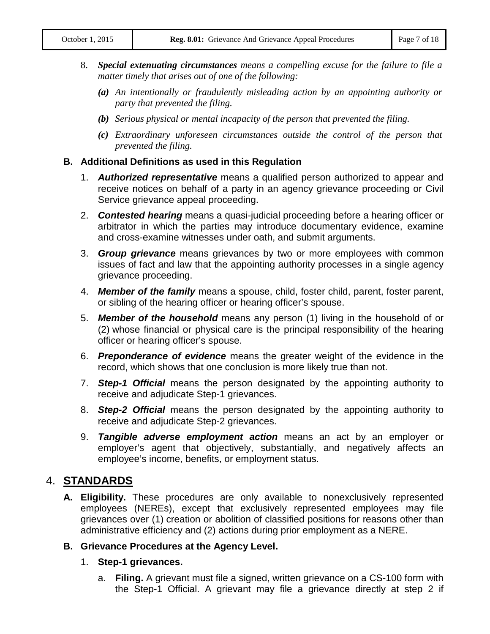- 8. *Special extenuating circumstances means a compelling excuse for the failure to file a matter timely that arises out of one of the following:*
	- *(a) An intentionally or fraudulently misleading action by an appointing authority or party that prevented the filing.*
	- *(b) Serious physical or mental incapacity of the person that prevented the filing.*
	- *(c) Extraordinary unforeseen circumstances outside the control of the person that prevented the filing.*

#### **B. Additional Definitions as used in this Regulation**

- 1. *Authorized representative* means a qualified person authorized to appear and receive notices on behalf of a party in an agency grievance proceeding or Civil Service grievance appeal proceeding.
- 2. *Contested hearing* means a quasi-judicial proceeding before a hearing officer or arbitrator in which the parties may introduce documentary evidence, examine and cross-examine witnesses under oath, and submit arguments.
- 3. *Group grievance* means grievances by two or more employees with common issues of fact and law that the appointing authority processes in a single agency grievance proceeding.
- 4. *Member of the family* means a spouse, child, foster child, parent, foster parent, or sibling of the hearing officer or hearing officer's spouse.
- 5. *Member of the household* means any person (1) living in the household of or (2) whose financial or physical care is the principal responsibility of the hearing officer or hearing officer's spouse.
- 6. *Preponderance of evidence* means the greater weight of the evidence in the record, which shows that one conclusion is more likely true than not.
- 7. *Step-1 Official* means the person designated by the appointing authority to receive and adjudicate Step-1 grievances.
- 8. *Step-2 Official* means the person designated by the appointing authority to receive and adjudicate Step-2 grievances.
- 9. *Tangible adverse employment action* means an act by an employer or employer's agent that objectively, substantially, and negatively affects an employee's income, benefits, or employment status.

# 4. **STANDARDS**

**A. Eligibility.** These procedures are only available to nonexclusively represented employees (NEREs), except that exclusively represented employees may file grievances over (1) creation or abolition of classified positions for reasons other than administrative efficiency and (2) actions during prior employment as a NERE.

#### **B. Grievance Procedures at the Agency Level.**

- 1. **Step-1 grievances.** 
	- a. **Filing.** A grievant must file a signed, written grievance on a CS-100 form with the Step-1 Official. A grievant may file a grievance directly at step 2 if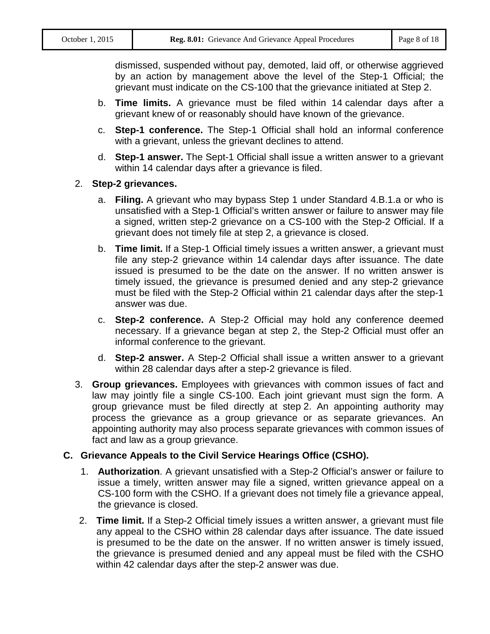dismissed, suspended without pay, demoted, laid off, or otherwise aggrieved by an action by management above the level of the Step-1 Official; the grievant must indicate on the CS-100 that the grievance initiated at Step 2.

- b. **Time limits.** A grievance must be filed within 14 calendar days after a grievant knew of or reasonably should have known of the grievance.
- c. **Step-1 conference.** The Step-1 Official shall hold an informal conference with a grievant, unless the grievant declines to attend.
- d. **Step-1 answer.** The Sept-1 Official shall issue a written answer to a grievant within 14 calendar days after a grievance is filed.

#### 2. **Step-2 grievances.**

- a. **Filing.** A grievant who may bypass Step 1 under Standard 4.B.1.a or who is unsatisfied with a Step-1 Official's written answer or failure to answer may file a signed, written step-2 grievance on a CS-100 with the Step-2 Official. If a grievant does not timely file at step 2, a grievance is closed.
- b. **Time limit.** If a Step-1 Official timely issues a written answer, a grievant must file any step-2 grievance within 14 calendar days after issuance. The date issued is presumed to be the date on the answer. If no written answer is timely issued, the grievance is presumed denied and any step-2 grievance must be filed with the Step-2 Official within 21 calendar days after the step-1 answer was due.
- c. **Step-2 conference.** A Step-2 Official may hold any conference deemed necessary. If a grievance began at step 2, the Step-2 Official must offer an informal conference to the grievant.
- d. **Step-2 answer.** A Step-2 Official shall issue a written answer to a grievant within 28 calendar days after a step-2 grievance is filed.
- 3. **Group grievances.** Employees with grievances with common issues of fact and law may jointly file a single CS-100. Each joint grievant must sign the form. A group grievance must be filed directly at step 2. An appointing authority may process the grievance as a group grievance or as separate grievances. An appointing authority may also process separate grievances with common issues of fact and law as a group grievance.

#### **C. Grievance Appeals to the Civil Service Hearings Office (CSHO).**

- 1. **Authorization**. A grievant unsatisfied with a Step-2 Official's answer or failure to issue a timely, written answer may file a signed, written grievance appeal on a CS-100 form with the CSHO. If a grievant does not timely file a grievance appeal, the grievance is closed.
- 2. **Time limit.** If a Step-2 Official timely issues a written answer, a grievant must file any appeal to the CSHO within 28 calendar days after issuance. The date issued is presumed to be the date on the answer. If no written answer is timely issued, the grievance is presumed denied and any appeal must be filed with the CSHO within 42 calendar days after the step-2 answer was due.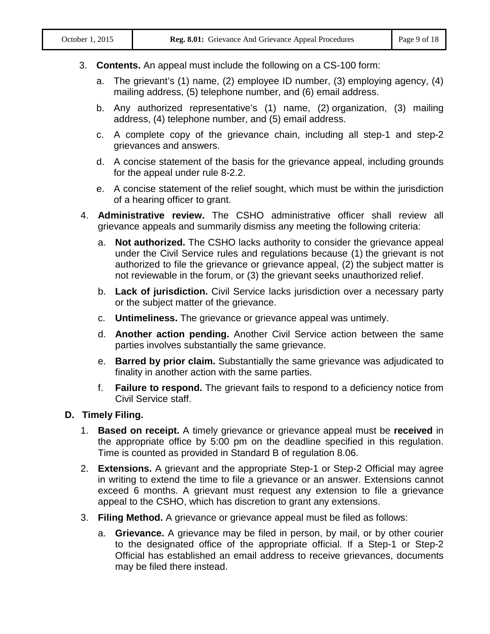#### 3. **Contents.** An appeal must include the following on a CS-100 form:

- a. The grievant's (1) name, (2) employee ID number, (3) employing agency, (4) mailing address, (5) telephone number, and (6) email address.
- b. Any authorized representative's (1) name, (2) organization, (3) mailing address, (4) telephone number, and (5) email address.
- c. A complete copy of the grievance chain, including all step-1 and step-2 grievances and answers.
- d. A concise statement of the basis for the grievance appeal, including grounds for the appeal under rule 8-2.2.
- e. A concise statement of the relief sought, which must be within the jurisdiction of a hearing officer to grant.
- 4. **Administrative review.** The CSHO administrative officer shall review all grievance appeals and summarily dismiss any meeting the following criteria:
	- a. **Not authorized.** The CSHO lacks authority to consider the grievance appeal under the Civil Service rules and regulations because (1) the grievant is not authorized to file the grievance or grievance appeal, (2) the subject matter is not reviewable in the forum, or (3) the grievant seeks unauthorized relief.
	- b. **Lack of jurisdiction.** Civil Service lacks jurisdiction over a necessary party or the subject matter of the grievance.
	- c. **Untimeliness.** The grievance or grievance appeal was untimely.
	- d. **Another action pending.** Another Civil Service action between the same parties involves substantially the same grievance.
	- e. **Barred by prior claim.** Substantially the same grievance was adjudicated to finality in another action with the same parties.
	- f. **Failure to respond.** The grievant fails to respond to a deficiency notice from Civil Service staff.

#### **D. Timely Filing.**

- 1. **Based on receipt.** A timely grievance or grievance appeal must be **received** in the appropriate office by 5:00 pm on the deadline specified in this regulation. Time is counted as provided in Standard B of regulation 8.06.
- 2. **Extensions.** A grievant and the appropriate Step-1 or Step-2 Official may agree in writing to extend the time to file a grievance or an answer. Extensions cannot exceed 6 months. A grievant must request any extension to file a grievance appeal to the CSHO, which has discretion to grant any extensions.
- 3. **Filing Method.** A grievance or grievance appeal must be filed as follows:
	- a. **Grievance.** A grievance may be filed in person, by mail, or by other courier to the designated office of the appropriate official. If a Step-1 or Step-2 Official has established an email address to receive grievances, documents may be filed there instead.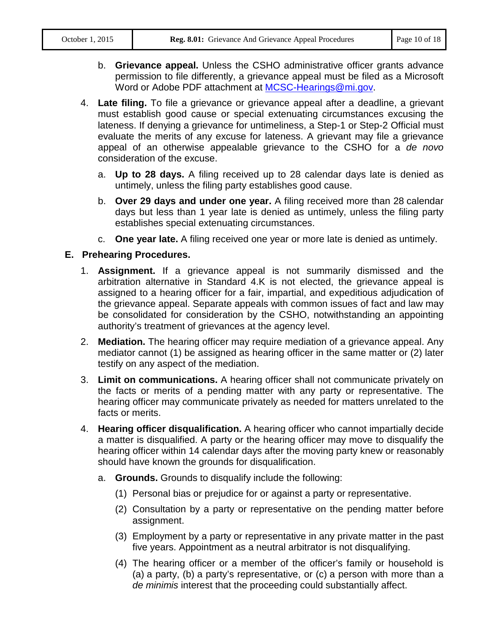- b. **Grievance appeal.** Unless the CSHO administrative officer grants advance permission to file differently, a grievance appeal must be filed as a Microsoft Word or Adobe PDF attachment at [MCSC-Hearings@mi.gov.](mailto:MCSC-Hearings@mi.gov)
- 4. **Late filing.** To file a grievance or grievance appeal after a deadline, a grievant must establish good cause or special extenuating circumstances excusing the lateness. If denying a grievance for untimeliness, a Step-1 or Step-2 Official must evaluate the merits of any excuse for lateness. A grievant may file a grievance appeal of an otherwise appealable grievance to the CSHO for a *de novo* consideration of the excuse.
	- a. **Up to 28 days.** A filing received up to 28 calendar days late is denied as untimely, unless the filing party establishes good cause.
	- b. **Over 29 days and under one year.** A filing received more than 28 calendar days but less than 1 year late is denied as untimely, unless the filing party establishes special extenuating circumstances.
	- c. **One year late.** A filing received one year or more late is denied as untimely.

#### **E. Prehearing Procedures.**

- 1. **Assignment.** If a grievance appeal is not summarily dismissed and the arbitration alternative in Standard 4.K is not elected, the grievance appeal is assigned to a hearing officer for a fair, impartial, and expeditious adjudication of the grievance appeal. Separate appeals with common issues of fact and law may be consolidated for consideration by the CSHO, notwithstanding an appointing authority's treatment of grievances at the agency level.
- 2. **Mediation.** The hearing officer may require mediation of a grievance appeal. Any mediator cannot (1) be assigned as hearing officer in the same matter or (2) later testify on any aspect of the mediation.
- 3. **Limit on communications.** A hearing officer shall not communicate privately on the facts or merits of a pending matter with any party or representative. The hearing officer may communicate privately as needed for matters unrelated to the facts or merits.
- 4. **Hearing officer disqualification.** A hearing officer who cannot impartially decide a matter is disqualified. A party or the hearing officer may move to disqualify the hearing officer within 14 calendar days after the moving party knew or reasonably should have known the grounds for disqualification.
	- a. **Grounds.** Grounds to disqualify include the following:
		- (1) Personal bias or prejudice for or against a party or representative.
		- (2) Consultation by a party or representative on the pending matter before assignment.
		- (3) Employment by a party or representative in any private matter in the past five years. Appointment as a neutral arbitrator is not disqualifying.
		- (4) The hearing officer or a member of the officer's family or household is (a) a party, (b) a party's representative, or (c) a person with more than a *de minimis* interest that the proceeding could substantially affect.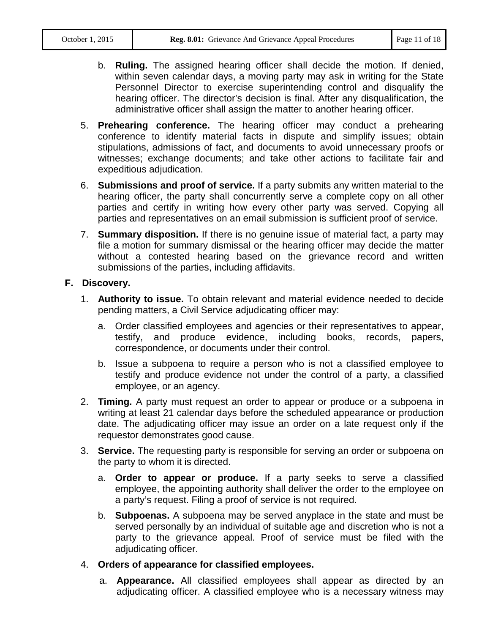- b. **Ruling.** The assigned hearing officer shall decide the motion. If denied, within seven calendar days, a moving party may ask in writing for the State Personnel Director to exercise superintending control and disqualify the hearing officer. The director's decision is final. After any disqualification, the administrative officer shall assign the matter to another hearing officer.
- 5. **Prehearing conference.** The hearing officer may conduct a prehearing conference to identify material facts in dispute and simplify issues; obtain stipulations, admissions of fact, and documents to avoid unnecessary proofs or witnesses; exchange documents; and take other actions to facilitate fair and expeditious adjudication.
- 6. **Submissions and proof of service.** If a party submits any written material to the hearing officer, the party shall concurrently serve a complete copy on all other parties and certify in writing how every other party was served. Copying all parties and representatives on an email submission is sufficient proof of service.
- 7. **Summary disposition.** If there is no genuine issue of material fact, a party may file a motion for summary dismissal or the hearing officer may decide the matter without a contested hearing based on the grievance record and written submissions of the parties, including affidavits.

#### **F. Discovery.**

- 1. **Authority to issue.** To obtain relevant and material evidence needed to decide pending matters, a Civil Service adjudicating officer may:
	- a. Order classified employees and agencies or their representatives to appear, testify, and produce evidence, including books, records, papers, correspondence, or documents under their control.
	- b. Issue a subpoena to require a person who is not a classified employee to testify and produce evidence not under the control of a party, a classified employee, or an agency.
- 2. **Timing.** A party must request an order to appear or produce or a subpoena in writing at least 21 calendar days before the scheduled appearance or production date. The adjudicating officer may issue an order on a late request only if the requestor demonstrates good cause.
- 3. **Service.** The requesting party is responsible for serving an order or subpoena on the party to whom it is directed.
	- a. **Order to appear or produce.** If a party seeks to serve a classified employee, the appointing authority shall deliver the order to the employee on a party's request. Filing a proof of service is not required.
	- b. **Subpoenas.** A subpoena may be served anyplace in the state and must be served personally by an individual of suitable age and discretion who is not a party to the grievance appeal. Proof of service must be filed with the adjudicating officer.
- 4. **Orders of appearance for classified employees.**
	- a. **Appearance.** All classified employees shall appear as directed by an adjudicating officer. A classified employee who is a necessary witness may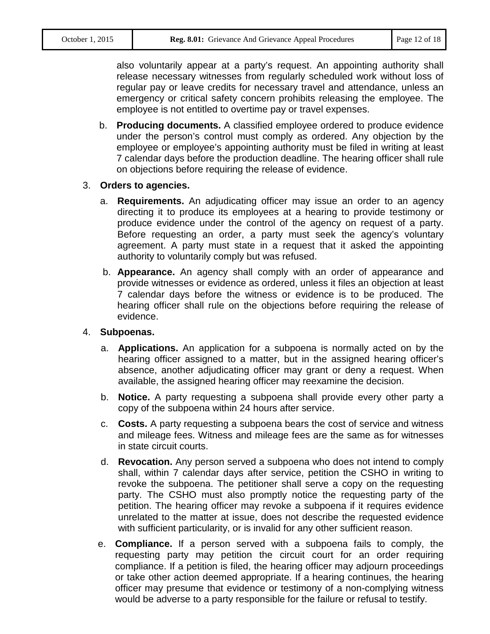also voluntarily appear at a party's request. An appointing authority shall release necessary witnesses from regularly scheduled work without loss of regular pay or leave credits for necessary travel and attendance, unless an emergency or critical safety concern prohibits releasing the employee. The employee is not entitled to overtime pay or travel expenses.

b. **Producing documents.** A classified employee ordered to produce evidence under the person's control must comply as ordered. Any objection by the employee or employee's appointing authority must be filed in writing at least 7 calendar days before the production deadline. The hearing officer shall rule on objections before requiring the release of evidence.

#### 3. **Orders to agencies.**

- a. **Requirements.** An adjudicating officer may issue an order to an agency directing it to produce its employees at a hearing to provide testimony or produce evidence under the control of the agency on request of a party. Before requesting an order, a party must seek the agency's voluntary agreement. A party must state in a request that it asked the appointing authority to voluntarily comply but was refused.
- b. **Appearance.** An agency shall comply with an order of appearance and provide witnesses or evidence as ordered, unless it files an objection at least 7 calendar days before the witness or evidence is to be produced. The hearing officer shall rule on the objections before requiring the release of evidence.

#### 4. **Subpoenas.**

- a. **Applications.** An application for a subpoena is normally acted on by the hearing officer assigned to a matter, but in the assigned hearing officer's absence, another adjudicating officer may grant or deny a request. When available, the assigned hearing officer may reexamine the decision.
- b. **Notice.** A party requesting a subpoena shall provide every other party a copy of the subpoena within 24 hours after service.
- c. **Costs.** A party requesting a subpoena bears the cost of service and witness and mileage fees. Witness and mileage fees are the same as for witnesses in state circuit courts.
- d. **Revocation.** Any person served a subpoena who does not intend to comply shall, within 7 calendar days after service, petition the CSHO in writing to revoke the subpoena. The petitioner shall serve a copy on the requesting party. The CSHO must also promptly notice the requesting party of the petition. The hearing officer may revoke a subpoena if it requires evidence unrelated to the matter at issue, does not describe the requested evidence with sufficient particularity, or is invalid for any other sufficient reason.
- e. **Compliance.** If a person served with a subpoena fails to comply, the requesting party may petition the circuit court for an order requiring compliance. If a petition is filed, the hearing officer may adjourn proceedings or take other action deemed appropriate. If a hearing continues, the hearing officer may presume that evidence or testimony of a non-complying witness would be adverse to a party responsible for the failure or refusal to testify.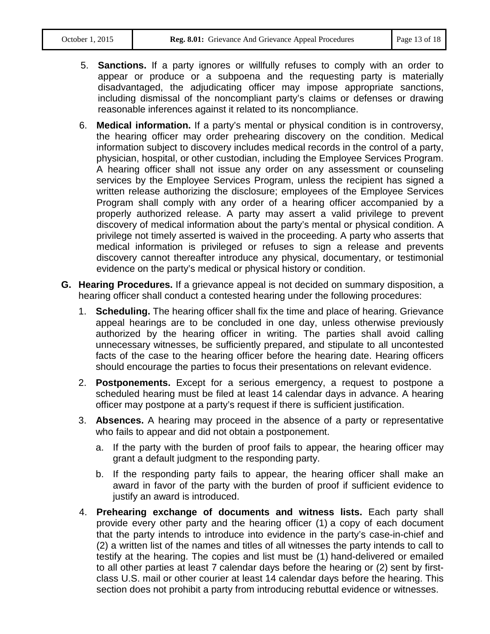- 5. **Sanctions.** If a party ignores or willfully refuses to comply with an order to appear or produce or a subpoena and the requesting party is materially disadvantaged, the adjudicating officer may impose appropriate sanctions, including dismissal of the noncompliant party's claims or defenses or drawing reasonable inferences against it related to its noncompliance.
- 6. **Medical information.** If a party's mental or physical condition is in controversy, the hearing officer may order prehearing discovery on the condition. Medical information subject to discovery includes medical records in the control of a party, physician, hospital, or other custodian, including the Employee Services Program. A hearing officer shall not issue any order on any assessment or counseling services by the Employee Services Program, unless the recipient has signed a written release authorizing the disclosure; employees of the Employee Services Program shall comply with any order of a hearing officer accompanied by a properly authorized release. A party may assert a valid privilege to prevent discovery of medical information about the party's mental or physical condition. A privilege not timely asserted is waived in the proceeding. A party who asserts that medical information is privileged or refuses to sign a release and prevents discovery cannot thereafter introduce any physical, documentary, or testimonial evidence on the party's medical or physical history or condition.
- **G. Hearing Procedures.** If a grievance appeal is not decided on summary disposition, a hearing officer shall conduct a contested hearing under the following procedures:
	- 1. **Scheduling.** The hearing officer shall fix the time and place of hearing. Grievance appeal hearings are to be concluded in one day, unless otherwise previously authorized by the hearing officer in writing. The parties shall avoid calling unnecessary witnesses, be sufficiently prepared, and stipulate to all uncontested facts of the case to the hearing officer before the hearing date. Hearing officers should encourage the parties to focus their presentations on relevant evidence.
	- 2. **Postponements.** Except for a serious emergency, a request to postpone a scheduled hearing must be filed at least 14 calendar days in advance. A hearing officer may postpone at a party's request if there is sufficient justification.
	- 3. **Absences.** A hearing may proceed in the absence of a party or representative who fails to appear and did not obtain a postponement.
		- a. If the party with the burden of proof fails to appear, the hearing officer may grant a default judgment to the responding party.
		- b. If the responding party fails to appear, the hearing officer shall make an award in favor of the party with the burden of proof if sufficient evidence to justify an award is introduced.
	- 4. **Prehearing exchange of documents and witness lists.** Each party shall provide every other party and the hearing officer (1) a copy of each document that the party intends to introduce into evidence in the party's case-in-chief and (2) a written list of the names and titles of all witnesses the party intends to call to testify at the hearing. The copies and list must be (1) hand-delivered or emailed to all other parties at least 7 calendar days before the hearing or (2) sent by firstclass U.S. mail or other courier at least 14 calendar days before the hearing. This section does not prohibit a party from introducing rebuttal evidence or witnesses.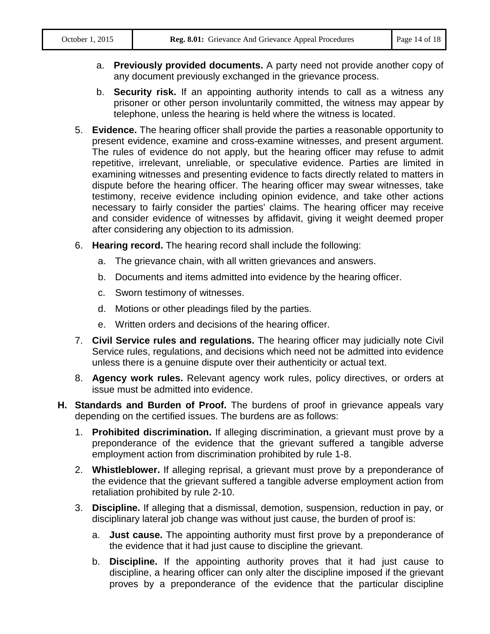- a. **Previously provided documents.** A party need not provide another copy of any document previously exchanged in the grievance process.
- b. **Security risk.** If an appointing authority intends to call as a witness any prisoner or other person involuntarily committed, the witness may appear by telephone, unless the hearing is held where the witness is located.
- 5. **Evidence.** The hearing officer shall provide the parties a reasonable opportunity to present evidence, examine and cross-examine witnesses, and present argument. The rules of evidence do not apply, but the hearing officer may refuse to admit repetitive, irrelevant, unreliable, or speculative evidence. Parties are limited in examining witnesses and presenting evidence to facts directly related to matters in dispute before the hearing officer. The hearing officer may swear witnesses, take testimony, receive evidence including opinion evidence, and take other actions necessary to fairly consider the parties' claims. The hearing officer may receive and consider evidence of witnesses by affidavit, giving it weight deemed proper after considering any objection to its admission.
- 6. **Hearing record.** The hearing record shall include the following:
	- a. The grievance chain, with all written grievances and answers.
	- b. Documents and items admitted into evidence by the hearing officer.
	- c. Sworn testimony of witnesses.
	- d. Motions or other pleadings filed by the parties.
	- e. Written orders and decisions of the hearing officer.
- 7. **Civil Service rules and regulations.** The hearing officer may judicially note Civil Service rules, regulations, and decisions which need not be admitted into evidence unless there is a genuine dispute over their authenticity or actual text.
- 8. **Agency work rules.** Relevant agency work rules, policy directives, or orders at issue must be admitted into evidence.
- **H. Standards and Burden of Proof.** The burdens of proof in grievance appeals vary depending on the certified issues. The burdens are as follows:
	- 1. **Prohibited discrimination.** If alleging discrimination, a grievant must prove by a preponderance of the evidence that the grievant suffered a tangible adverse employment action from discrimination prohibited by rule 1-8.
	- 2. **Whistleblower.** If alleging reprisal, a grievant must prove by a preponderance of the evidence that the grievant suffered a tangible adverse employment action from retaliation prohibited by rule 2-10.
	- 3. **Discipline.** If alleging that a dismissal, demotion, suspension, reduction in pay, or disciplinary lateral job change was without just cause, the burden of proof is:
		- a. **Just cause.** The appointing authority must first prove by a preponderance of the evidence that it had just cause to discipline the grievant.
		- b. **Discipline.** If the appointing authority proves that it had just cause to discipline, a hearing officer can only alter the discipline imposed if the grievant proves by a preponderance of the evidence that the particular discipline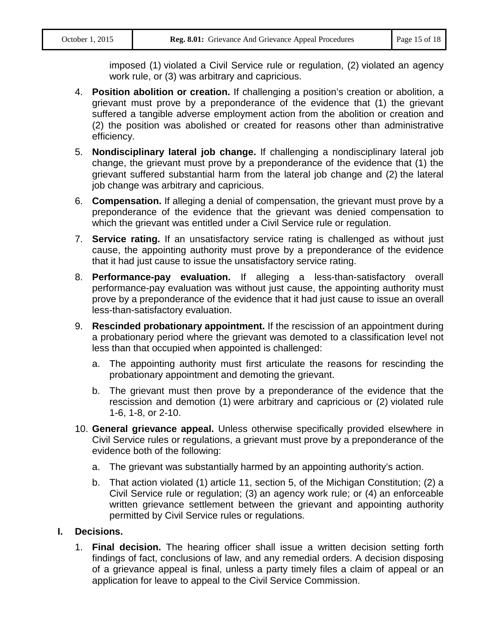imposed (1) violated a Civil Service rule or regulation, (2) violated an agency work rule, or (3) was arbitrary and capricious.

- 4. **Position abolition or creation.** If challenging a position's creation or abolition, a grievant must prove by a preponderance of the evidence that (1) the grievant suffered a tangible adverse employment action from the abolition or creation and (2) the position was abolished or created for reasons other than administrative efficiency.
- 5. **Nondisciplinary lateral job change.** If challenging a nondisciplinary lateral job change, the grievant must prove by a preponderance of the evidence that (1) the grievant suffered substantial harm from the lateral job change and (2) the lateral job change was arbitrary and capricious.
- 6. **Compensation.** If alleging a denial of compensation, the grievant must prove by a preponderance of the evidence that the grievant was denied compensation to which the grievant was entitled under a Civil Service rule or regulation.
- 7. **Service rating.** If an unsatisfactory service rating is challenged as without just cause, the appointing authority must prove by a preponderance of the evidence that it had just cause to issue the unsatisfactory service rating.
- 8. **Performance-pay evaluation.** If alleging a less-than-satisfactory overall performance-pay evaluation was without just cause, the appointing authority must prove by a preponderance of the evidence that it had just cause to issue an overall less-than-satisfactory evaluation.
- 9. **Rescinded probationary appointment.** If the rescission of an appointment during a probationary period where the grievant was demoted to a classification level not less than that occupied when appointed is challenged:
	- a. The appointing authority must first articulate the reasons for rescinding the probationary appointment and demoting the grievant.
	- b. The grievant must then prove by a preponderance of the evidence that the rescission and demotion (1) were arbitrary and capricious or (2) violated rule 1-6, 1-8, or 2-10.
- 10. **General grievance appeal.** Unless otherwise specifically provided elsewhere in Civil Service rules or regulations, a grievant must prove by a preponderance of the evidence both of the following:
	- a. The grievant was substantially harmed by an appointing authority's action.
	- b. That action violated (1) article 11, section 5, of the Michigan Constitution; (2) a Civil Service rule or regulation; (3) an agency work rule; or (4) an enforceable written grievance settlement between the grievant and appointing authority permitted by Civil Service rules or regulations.

#### **I. Decisions.**

1. **Final decision.** The hearing officer shall issue a written decision setting forth findings of fact, conclusions of law, and any remedial orders. A decision disposing of a grievance appeal is final, unless a party timely files a claim of appeal or an application for leave to appeal to the Civil Service Commission.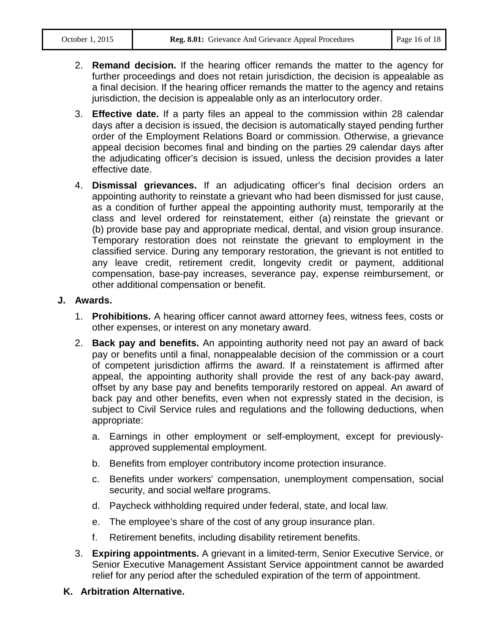- 2. **Remand decision.** If the hearing officer remands the matter to the agency for further proceedings and does not retain jurisdiction, the decision is appealable as a final decision. If the hearing officer remands the matter to the agency and retains jurisdiction, the decision is appealable only as an interlocutory order.
- 3. **Effective date.** If a party files an appeal to the commission within 28 calendar days after a decision is issued, the decision is automatically stayed pending further order of the Employment Relations Board or commission. Otherwise, a grievance appeal decision becomes final and binding on the parties 29 calendar days after the adjudicating officer's decision is issued, unless the decision provides a later effective date.
- 4. **Dismissal grievances.** If an adjudicating officer's final decision orders an appointing authority to reinstate a grievant who had been dismissed for just cause, as a condition of further appeal the appointing authority must, temporarily at the class and level ordered for reinstatement, either (a) reinstate the grievant or (b) provide base pay and appropriate medical, dental, and vision group insurance. Temporary restoration does not reinstate the grievant to employment in the classified service. During any temporary restoration, the grievant is not entitled to any leave credit, retirement credit, longevity credit or payment, additional compensation, base-pay increases, severance pay, expense reimbursement, or other additional compensation or benefit.

#### **J. Awards.**

- 1. **Prohibitions.** A hearing officer cannot award attorney fees, witness fees, costs or other expenses, or interest on any monetary award.
- 2. **Back pay and benefits.** An appointing authority need not pay an award of back pay or benefits until a final, nonappealable decision of the commission or a court of competent jurisdiction affirms the award. If a reinstatement is affirmed after appeal, the appointing authority shall provide the rest of any back-pay award, offset by any base pay and benefits temporarily restored on appeal. An award of back pay and other benefits, even when not expressly stated in the decision, is subject to Civil Service rules and regulations and the following deductions, when appropriate:
	- a. Earnings in other employment or self-employment, except for previouslyapproved supplemental employment.
	- b. Benefits from employer contributory income protection insurance.
	- c. Benefits under workers' compensation, unemployment compensation, social security, and social welfare programs.
	- d. Paycheck withholding required under federal, state, and local law.
	- e. The employee's share of the cost of any group insurance plan.
	- f. Retirement benefits, including disability retirement benefits.
- 3. **Expiring appointments.** A grievant in a limited-term, Senior Executive Service, or Senior Executive Management Assistant Service appointment cannot be awarded relief for any period after the scheduled expiration of the term of appointment.
- **K. Arbitration Alternative.**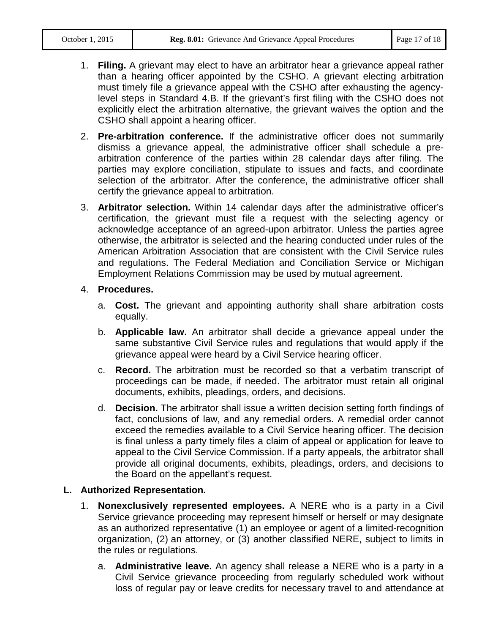- 1. **Filing.** A grievant may elect to have an arbitrator hear a grievance appeal rather than a hearing officer appointed by the CSHO. A grievant electing arbitration must timely file a grievance appeal with the CSHO after exhausting the agencylevel steps in Standard 4.B. If the grievant's first filing with the CSHO does not explicitly elect the arbitration alternative, the grievant waives the option and the CSHO shall appoint a hearing officer.
- 2. **Pre-arbitration conference.** If the administrative officer does not summarily dismiss a grievance appeal, the administrative officer shall schedule a prearbitration conference of the parties within 28 calendar days after filing. The parties may explore conciliation, stipulate to issues and facts, and coordinate selection of the arbitrator. After the conference, the administrative officer shall certify the grievance appeal to arbitration.
- 3. **Arbitrator selection.** Within 14 calendar days after the administrative officer's certification, the grievant must file a request with the selecting agency or acknowledge acceptance of an agreed-upon arbitrator. Unless the parties agree otherwise, the arbitrator is selected and the hearing conducted under rules of the American Arbitration Association that are consistent with the Civil Service rules and regulations. The Federal Mediation and Conciliation Service or Michigan Employment Relations Commission may be used by mutual agreement.

#### 4. **Procedures.**

- a. **Cost.** The grievant and appointing authority shall share arbitration costs equally.
- b. **Applicable law.** An arbitrator shall decide a grievance appeal under the same substantive Civil Service rules and regulations that would apply if the grievance appeal were heard by a Civil Service hearing officer.
- c. **Record.** The arbitration must be recorded so that a verbatim transcript of proceedings can be made, if needed. The arbitrator must retain all original documents, exhibits, pleadings, orders, and decisions.
- d. **Decision.** The arbitrator shall issue a written decision setting forth findings of fact, conclusions of law, and any remedial orders. A remedial order cannot exceed the remedies available to a Civil Service hearing officer. The decision is final unless a party timely files a claim of appeal or application for leave to appeal to the Civil Service Commission. If a party appeals, the arbitrator shall provide all original documents, exhibits, pleadings, orders, and decisions to the Board on the appellant's request.

## **L. Authorized Representation.**

- 1. **Nonexclusively represented employees.** A NERE who is a party in a Civil Service grievance proceeding may represent himself or herself or may designate as an authorized representative (1) an employee or agent of a limited-recognition organization, (2) an attorney, or (3) another classified NERE, subject to limits in the rules or regulations.
	- a. **Administrative leave.** An agency shall release a NERE who is a party in a Civil Service grievance proceeding from regularly scheduled work without loss of regular pay or leave credits for necessary travel to and attendance at